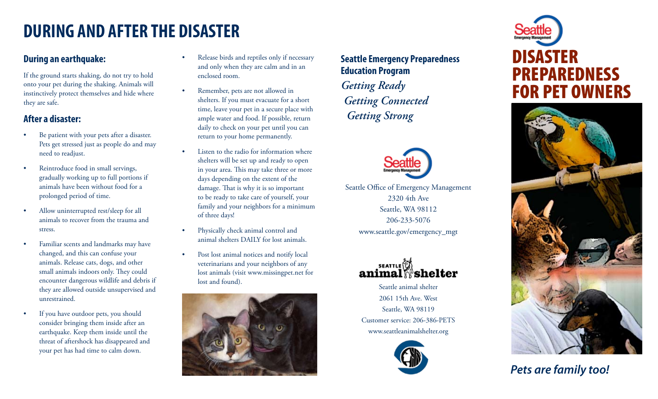### **DURING AND AFTER THE DISASTER**

#### **During an earthquake:**

If the ground starts shaking, do not try to hold onto your pet during the shaking. Animals will instinctively protect themselves and hide where they are safe.

### **After a disaster:**

- Be patient with your pets after a disaster. Pets get stressed just as people do and may need to readjust.
- Reintroduce food in small servings, gradually working up to full portions if animals have been without food for a prolonged period of time.
- Allow uninterrupted rest/sleep for all animals to recover from the trauma and stress.
- Familiar scents and landmarks may have changed, and this can confuse your animals. Release cats, dogs, and other small animals indoors only. They could encounter dangerous wildlife and debris if they are allowed outside unsupervised and unrestrained.
- If you have outdoor pets, you should consider bringing them inside after an earthquake. Keep them inside until the threat of aftershock has disappeared and your pet has had time to calm down.
- Release birds and reptiles only if necessary and only when they are calm and in an enclosed room.
- Remember, pets are not allowed in shelters. If you must evacuate for a short time, leave your pet in a secure place with ample water and food. If possible, return daily to check on your pet until you can return to your home permanently.
- Listen to the radio for information where shelters will be set up and ready to open in your area. This may take three or more days depending on the extent of the damage. That is why it is so important to be ready to take care of yourself, your family and your neighbors for a minimum of three days!
- Physically check animal control and animal shelters DAILY for lost animals.
- Post lost animal notices and notify local veterinarians and your neighbors of any lost animals (visit www.missingpet.net for lost and found).



### **Seattle Emergency Preparedness Education Program** *Getting Ready Getting Connected Getting Strong*



Seattle Office of Emergency Management 2320 4th Ave Seattle, WA 98112 206-233-5076 www.seattle.gov/emergency\_mgt



Seattle animal shelter 2061 15th Ave. West Seattle, WA 98119 Customer service: 206-386-PETS www.seattleanimalshelter.org



# DISASTER PREPAREDNESS FOR PET OWNERS



### *Pets are family too!*